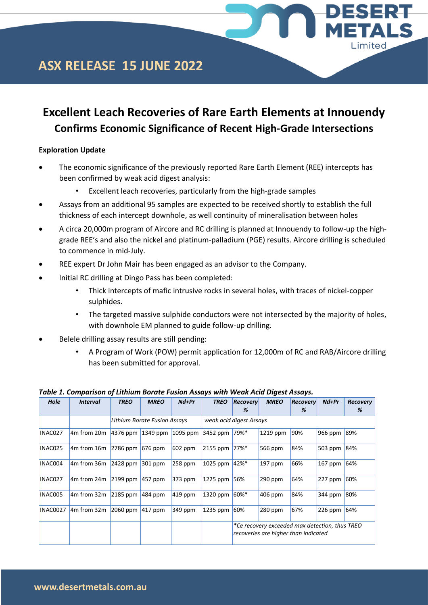

## **ASX RELEASE 15 JUNE 2022**

## **Excellent Leach Recoveries of Rare Earth Elements at Innouendy Confirms Economic Significance of Recent High-Grade Intersections**

### **Exploration Update**

- The economic significance of the previously reported Rare Earth Element (REE) intercepts has been confirmed by weak acid digest analysis:
	- Excellent leach recoveries, particularly from the high-grade samples
- Assays from an additional 95 samples are expected to be received shortly to establish the full thickness of each intercept downhole, as well continuity of mineralisation between holes
- A circa 20,000m program of Aircore and RC drilling is planned at Innouendy to follow-up the highgrade REE's and also the nickel and platinum-palladium (PGE) results. Aircore drilling is scheduled to commence in mid-July.
- REE expert Dr John Mair has been engaged as an advisor to the Company.
- Initial RC drilling at Dingo Pass has been completed:
	- Thick intercepts of mafic intrusive rocks in several holes, with traces of nickel-copper sulphides.
	- The targeted massive sulphide conductors were not intersected by the majority of holes, with downhole EM planned to guide follow-up drilling.
- Belele drilling assay results are still pending:
	- A Program of Work (POW) permit application for 12,000m of RC and RAB/Aircore drilling has been submitted for approval.

| <b>Hole</b>     | <b>Interval</b>                     | <b>TREO</b> | $Nd+Pr$<br><b>MREO</b>       |             | <b>TREO</b>             | <b>Recovery</b><br>% | <b>MREO</b>                                                                            | Recovery<br>% | $Nd+Pr$    | <b>Recovery</b><br>% |
|-----------------|-------------------------------------|-------------|------------------------------|-------------|-------------------------|----------------------|----------------------------------------------------------------------------------------|---------------|------------|----------------------|
|                 |                                     |             | Lithium Borate Fusion Assays |             | weak acid digest Assays |                      |                                                                                        |               |            |                      |
| INAC027         | 4m from 20m                         | $4376$ ppm  | 1349 ppm                     | 1095 ppm    | 3452 ppm                | 79%*                 | 1219 ppm                                                                               | 90%           | 966 ppm    | 89%                  |
| INAC025         | 4m from 16m                         | $2786$ ppm  | $676$ ppm                    | $602$ ppm   | 2155 ppm                | 77%*                 | 566 ppm                                                                                | 84%           | 503 ppm    | 84%                  |
| INAC004         | 4m from 36m                         | $ 2428$ ppm | $301$ ppm                    | 258 ppm     | 1025 ppm                | 42%*                 | $197$ ppm                                                                              | 66%           | $167$ ppm  | 64%                  |
| INAC027         | 4 <sub>m</sub> from 24 <sub>m</sub> | $2199$ ppm  | $457$ ppm                    | 373 ppm     | 1225 ppm                | 56%                  | $290$ ppm                                                                              | 64%           | $ 227$ ppm | 60%                  |
| INAC005         | 4m from 32m                         | $2185$ ppm  | $ 484 $ ppm                  | $ 419 $ ppm | 1320 ppm                | 60%*                 | $406$ ppm                                                                              | 84%           | 344 ppm    | 80%                  |
| <b>INAC0027</b> | $4m$ from 32 $m$                    | $2060$ ppm  | $417$ ppm                    | 349 ppm     | 1235 ppm                | 60%                  | $280$ ppm                                                                              | 67%           | $226$ ppm  | 64%                  |
|                 |                                     |             |                              |             |                         |                      | *Ce recovery exceeded max detection, thus TREO<br>recoveries are higher than indicated |               |            |                      |

*Table 1. Comparison of Lithium Borate Fusion Assays with Weak Acid Digest Assays.*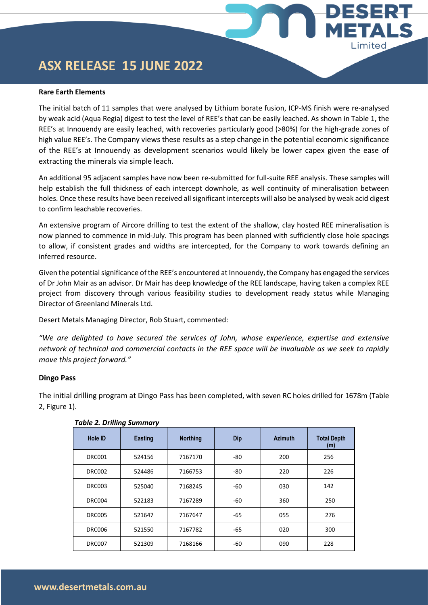# **ASX RELEASE 15 JUNE 2022**

#### **Rare Earth Elements**

The initial batch of 11 samples that were analysed by Lithium borate fusion, ICP-MS finish were re-analysed by weak acid (Aqua Regia) digest to test the level of REE's that can be easily leached. As shown in Table 1, the REE's at Innouendy are easily leached, with recoveries particularly good (>80%) for the high-grade zones of high value REE's. The Company views these results as a step change in the potential economic significance of the REE's at Innouendy as development scenarios would likely be lower capex given the ease of extracting the minerals via simple leach.

ESERT

**ETALS** 

Limited

An additional 95 adjacent samples have now been re-submitted for full-suite REE analysis. These samples will help establish the full thickness of each intercept downhole, as well continuity of mineralisation between holes. Once these results have been received all significant intercepts will also be analysed by weak acid digest to confirm leachable recoveries.

An extensive program of Aircore drilling to test the extent of the shallow, clay hosted REE mineralisation is now planned to commence in mid-July. This program has been planned with sufficiently close hole spacings to allow, if consistent grades and widths are intercepted, for the Company to work towards defining an inferred resource.

Given the potential significance of the REE's encountered at Innouendy, the Company has engaged the services of Dr John Mair as an advisor. Dr Mair has deep knowledge of the REE landscape, having taken a complex REE project from discovery through various feasibility studies to development ready status while Managing Director of Greenland Minerals Ltd.

Desert Metals Managing Director, Rob Stuart, commented:

*"We are delighted to have secured the services of John, whose experience, expertise and extensive network of technical and commercial contacts in the REE space will be invaluable as we seek to rapidly move this project forward."*

#### **Dingo Pass**

The initial drilling program at Dingo Pass has been completed, with seven RC holes drilled for 1678m (Table 2, Figure 1).

|               | -              |                 |       |                |                           |
|---------------|----------------|-----------------|-------|----------------|---------------------------|
| Hole ID       | <b>Easting</b> | <b>Northing</b> | Dip   | <b>Azimuth</b> | <b>Total Depth</b><br>(m) |
| <b>DRC001</b> | 524156         | 7167170         | -80   | 200            | 256                       |
| <b>DRC002</b> | 524486         | 7166753         | -80   | 220            | 226                       |
| <b>DRC003</b> | 525040         | 7168245         | $-60$ | 030            | 142                       |
| DRC004        | 522183         | 7167289         | -60   | 360            | 250                       |
| <b>DRC005</b> | 521647         | 7167647         | $-65$ | 055            | 276                       |
| <b>DRC006</b> | 521550         | 7167782         | $-65$ | 020            | 300                       |
| <b>DRC007</b> | 521309         | 7168166         | -60   | 090            | 228                       |

#### *Table 2. Drilling Summary*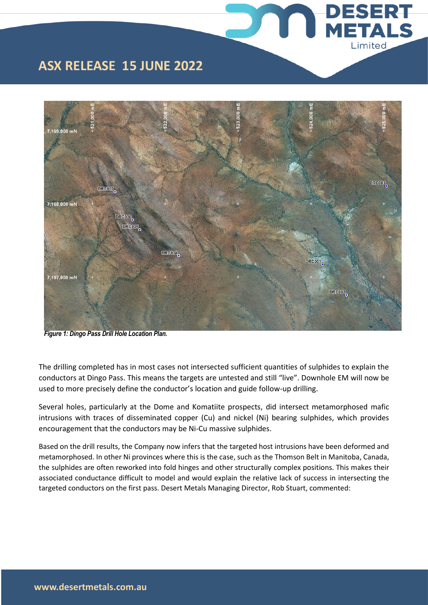

**DESERT** 

**METALS** 

Limited



*Figure 1: Dingo Pass Drill Hole Location Plan.* 

The drilling completed has in most cases not intersected sufficient quantities of sulphides to explain the conductors at Dingo Pass. This means the targets are untested and still "live". Downhole EM will now be used to more precisely define the conductor's location and guide follow-up drilling.

Several holes, particularly at the Dome and Komatiite prospects, did intersect metamorphosed mafic intrusions with traces of disseminated copper (Cu) and nickel (Ni) bearing sulphides, which provides encouragement that the conductors may be Ni-Cu massive sulphides.

Based on the drill results, the Company now infers that the targeted host intrusions have been deformed and metamorphosed. In other Ni provinces where this is the case, such as the Thomson Belt in Manitoba, Canada, the sulphides are often reworked into fold hinges and other structurally complex positions. This makes their associated conductance difficult to model and would explain the relative lack of success in intersecting the targeted conductors on the first pass. Desert Metals Managing Director, Rob Stuart, commented: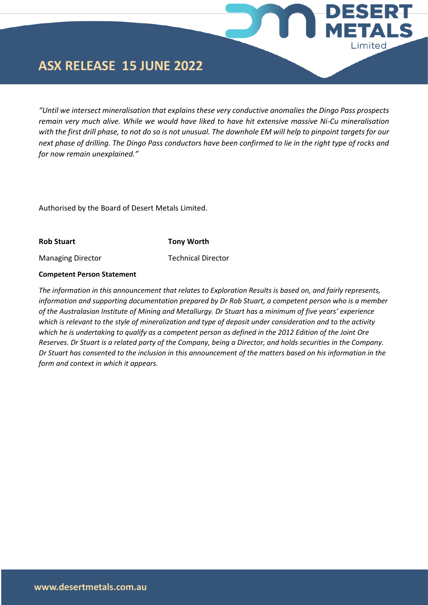## **ASX RELEASE 15 JUNE 2022**

*"Until we intersect mineralisation that explains these very conductive anomalies the Dingo Pass prospects remain very much alive. While we would have liked to have hit extensive massive Ni-Cu mineralisation with the first drill phase, to not do so is not unusual. The downhole EM will help to pinpoint targets for our next phase of drilling. The Dingo Pass conductors have been confirmed to lie in the right type of rocks and for now remain unexplained."*

ESERT

**IETALS** 

Limited

Authorised by the Board of Desert Metals Limited.

**Rob Stuart Tony Worth**

Managing Director Technical Director

#### **Competent Person Statement**

*The information in this announcement that relates to Exploration Results is based on, and fairly represents, information and supporting documentation prepared by Dr Rob Stuart, a competent person who is a member of the Australasian Institute of Mining and Metallurgy. Dr Stuart has a minimum of five years' experience which is relevant to the style of mineralization and type of deposit under consideration and to the activity which he is undertaking to qualify as a competent person as defined in the 2012 Edition of the Joint Ore Reserves. Dr Stuart is a related party of the Company, being a Director, and holds securities in the Company. Dr Stuart has consented to the inclusion in this announcement of the matters based on his information in the form and context in which it appears.*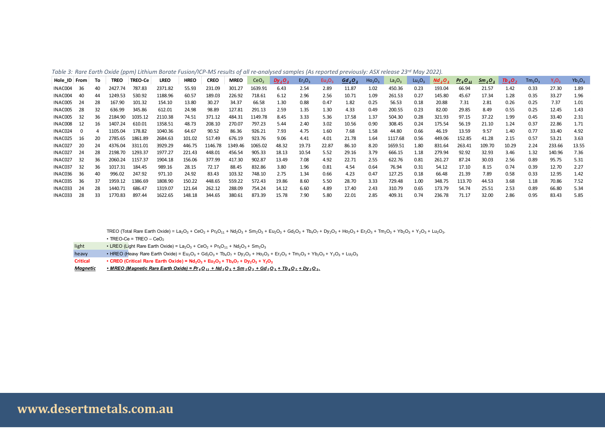|  |  |  |  |  | Table 3: Rare Earth Oxide (ppm) Lithium Borate Fusion/ICP-MS results of all re-analysed samples (As reported previously: ASX release 23 <sup>rd</sup> May 2022). |  |  |  |  |
|--|--|--|--|--|------------------------------------------------------------------------------------------------------------------------------------------------------------------|--|--|--|--|
|  |  |  |  |  |                                                                                                                                                                  |  |  |  |  |

|              |          |    |             |                | Table 3: Rare Earth Oxide (ppm) Lithium Borate Fusion/ICP-MS results of all re-analysed samples (As reported previously: ASX release 23 <sup>rd</sup> May 2022). |             |             |             |                  |           |                                |                                |           |                                |                                |                                |           |                                 |                         |                     |                                |          |           |
|--------------|----------|----|-------------|----------------|------------------------------------------------------------------------------------------------------------------------------------------------------------------|-------------|-------------|-------------|------------------|-----------|--------------------------------|--------------------------------|-----------|--------------------------------|--------------------------------|--------------------------------|-----------|---------------------------------|-------------------------|---------------------|--------------------------------|----------|-----------|
| Hole_ID From |          | То | <b>TREO</b> | <b>TREO-Ce</b> | <b>LREO</b>                                                                                                                                                      | <b>HREO</b> | <b>CREO</b> | <b>MREO</b> | CeO <sub>2</sub> | $Dy_2O_3$ | Er <sub>2</sub> O <sub>3</sub> | Eu <sub>2</sub> O <sub>3</sub> | $Gd_2O_3$ | Ho <sub>2</sub> O <sub>3</sub> | La <sub>2</sub> O <sub>3</sub> | Lu <sub>2</sub> O <sub>3</sub> | $Nd_2O_3$ | Pr <sub>6</sub> O <sub>11</sub> | $\frac{Sm_{2}O_{3}}{2}$ | $\frac{Tb_4O_7}{4}$ | Tm <sub>2</sub> O <sub>3</sub> | $Y_2O_3$ | $Yb_2O_3$ |
| INAC004      | 36       | 40 | 2427.74     | 787.83         | 2371.82                                                                                                                                                          | 55.93       | 231.09      | 301.27      | 1639.91          | 6.43      | 2.54                           | 2.89                           | 11.87     | 1.02                           | 450.36                         | 0.23                           | 193.04    | 66.94                           | 21.57                   | 1.42                | 0.33                           | 27.30    | 1.89      |
| INAC004      | 40       | 44 | 1249.53     | 530.92         | 1188.96                                                                                                                                                          | 60.57       | 189.03      | 226.92      | 718.61           | 6.12      | 2.96                           | 2.56                           | 10.71     | 1.09                           | 261.53                         | 0.27                           | 145.80    | 45.67                           | 17.34                   | 1.28                | 0.35                           | 33.27    | 1.96      |
| INAC005      | 24       | 28 | 167.90      | 101.32         | 154.10                                                                                                                                                           | 13.80       | 30.27       | 34.37       | 66.58            | 1.30      | 0.88                           | 0.47                           | 1.82      | 0.25                           | 56.53                          | 0.18                           | 20.88     | 7.31                            | 2.81                    | 0.26                | 0.25                           | 7.37     | 1.01      |
| INAC005      | 28       | 32 | 636.99      | 345.86         | 612.01                                                                                                                                                           | 24.98       | 98.89       | 127.81      | 291.13           | 2.59      | 1.35                           | 1.30                           | 4.33      | 0.49                           | 200.55                         | 0.23                           | 82.00     | 29.85                           | 8.49                    | 0.55                | 0.25                           | 12.45    | 1.43      |
| INAC005      | -32      | 36 | 2184.90     | 1035.12        | 2110.38                                                                                                                                                          | 74.51       | 371.12      | 484.31      | 1149.78          | 8.45      | 3.33                           | 5.36                           | 17.58     | 1.37                           | 504.30                         | 0.28                           | 321.93    | 97.15                           | 37.22                   | 1.99                | 0.45                           | 33.40    | 2.31      |
| INAC008      | 12       | 16 | 1407.24     | 610.01         | 1358.51                                                                                                                                                          | 48.73       | 208.10      | 270.07      | 797.23           | 5.44      | 2.40                           | 3.02                           | 10.56     | 0.90                           | 308.45                         | 0.24                           | 175.54    | 56.19                           | 21.10                   | 1.24                | 0.37                           | 22.86    | 1.71      |
| INAC024      | $\Omega$ |    | 1105.04     | 178.82         | 1040.36                                                                                                                                                          | 64.67       | 90.52       | 86.36       | 926.21           | 7.93      | 4.75                           | 1.60                           | 7.68      | 1.58                           | 44.80                          | 0.66                           | 46.19     | 13.59                           | 9.57                    | 1.40                | 0.77                           | 33.40    | 4.92      |
| INAC025      | 16       | 20 | 2785.65     | 1861.89        | 2684.63                                                                                                                                                          | 101.02      | 517.49      | 676.19      | 923.76           | 9.06      | 4.41                           | 4.01                           | 21.78     | 1.64                           | 1117.68                        | 0.56                           | 449.06    | 152.85                          | 41.28                   | 2.15                | 0.57                           | 53.21    | 3.63      |
| INAC027      | 20       | 24 | 4376.04     | 3311.01        | 3929.29                                                                                                                                                          | 446.75      | 1146.78     | 1349.46     | 1065.02          | 48.32     | 19.73                          | 22.87                          | 86.10     | 8.20                           | 1659.51                        | 1.80                           | 831.64    | 263.41                          | 109.70                  | 10.29               | 2.24                           | 233.66   | 13.55     |
| INAC027      | 24       | 28 | 2198.70     | 1293.37        | 1977.27                                                                                                                                                          | 221.43      | 448.01      | 456.54      | 905.33           | 18.13     | 10.54                          | 5.52                           | 29.16     | 3.79                           | 666.15                         | 1.18                           | 279.94    | 92.92                           | 32.93                   | 3.46                | 1.32                           | 140.96   | 7.36      |
| INAC027      | 32       | 36 | 2060.24     | 1157.37        | 1904.18                                                                                                                                                          | 156.06      | 377.99      | 417.30      | 902.87           | 13.49     | 7.08                           | 4.92                           | 22.71     | 2.55                           | 622.76                         | 0.81                           | 261.27    | 87.24                           | 30.03                   | 2.56                | 0.89                           | 95.75    | 5.31      |
| INAC037      | 32       | 36 | 1017.31     | 184.45         | 989.16                                                                                                                                                           | 28.15       | 72.17       | 88.45       | 832.86           | 3.80      | 1.96                           | 0.81                           | 4.54      | 0.64                           | 76.94                          | 0.31                           | 54.12     | 17.10                           | 8.15                    | 0.74                | 0.39                           | 12.70    | 2.27      |
| INAC036      | 36       | 40 | 996.02      | 247.92         | 971.10                                                                                                                                                           | 24.92       | 83.43       | 103.32      | 748.10           | 2.75      | 1.34                           | 0.66                           | 4.23      | 0.47                           | 127.25                         | 0.18                           | 66.48     | 21.39                           | 7.89                    | 0.58                | 0.33                           | 12.95    | 1.42      |
| INAC035      | 36       | 37 | 1959.12     | 1386.69        | 1808.90                                                                                                                                                          | 150.22      | 448.65      | 559.22      | 572.43           | 19.86     | 8.60                           | 5.50                           | 28.70     | 3.33                           | 729.48                         | 1.00                           | 348.75    | 113.70                          | 44.53                   | 3.68                | 1.18                           | 70.86    | 7.52      |
| INAC033      | 24       | 28 | 1440.71     | 686.47         | 1319.07                                                                                                                                                          | 121.64      | 262.12      | 288.09      | 754.24           | 14.12     | 6.60                           | 4.89                           | 17.40     | 2.43                           | 310.79                         | 0.65                           | 173.79    | 54.74                           | 25.51                   | 2.53                | 0.89                           | 66.80    | 5.34      |
| INAC033      | 28       | 33 | 1770.83     | 897.44         | 1622.65                                                                                                                                                          | 148.18      | 344.65      | 380.61      | 873.39           | 15.78     | 7.90                           | 5.80                           | 22.01     | 2.85                           | 409.31                         | 0.74                           | 236.78    | 71.17                           | 32.00                   | 2.86                | 0.95                           | 83.43    | 5.85      |

TREO (Total Rare Earth Oxide) = La<sub>2</sub>O<sub>3</sub> + CeO<sub>2</sub> + Pr<sub>6</sub>O<sub>11</sub> + Nd<sub>2</sub>O<sub>3</sub> + Sm<sub>2</sub>O<sub>3</sub> + Eu<sub>2</sub>O<sub>3</sub> + Gd<sub>2</sub>O<sub>3</sub> + Tb<sub>4</sub>O<sub>7</sub> + Pby<sub>2</sub>O<sub>3</sub> + Ho<sub>2</sub>O<sub>3</sub> + Tm<sub>2</sub>O<sub>3</sub> + Y<sub>2</sub>O<sub>3</sub> + Y<sub>2</sub>O<sub>3</sub> + Lu<sub>2</sub>O<sub>3</sub>.

 $\cdot$  TREO-Ce = TREO – CeO<sub>2</sub>

- light LREO (Light Rare Earth Oxide) =  $La_2O_3 + CeO_2 + Pr_6O_{11} + Nd_2O_3 + Sm_2O_3$
- heavy HREO (Heavy Rare Earth Oxide) =  $Eu_2O_3 + Gd_2O_3 + Tb_4O_7 + Dy_2O_3 + Ho_2O_3 + Er_2O_3 + Tm_2O_3 + Yb_2O_3 + Y_2O_3 + Lu_2O_3$
- Critical CREO (Critical Rare Earth Oxide) =  $Nd_2O_3 + Eu_2O_3 + Tb_4O_7 + Dy_2O_3 + Y_2O_3$
- Magnetic MREO (Magnetic Rare Earth Oxide) =  $Pr_6Q_{11}$  + Nd<sub>2</sub>O<sub>3</sub> + Sm<sub>2</sub>O<sub>3</sub> + Gd<sub>2</sub>O<sub>3</sub> + Tb<sub>4</sub>O<sub>Z</sub> + Dy<sub>2</sub>O<sub>3</sub>.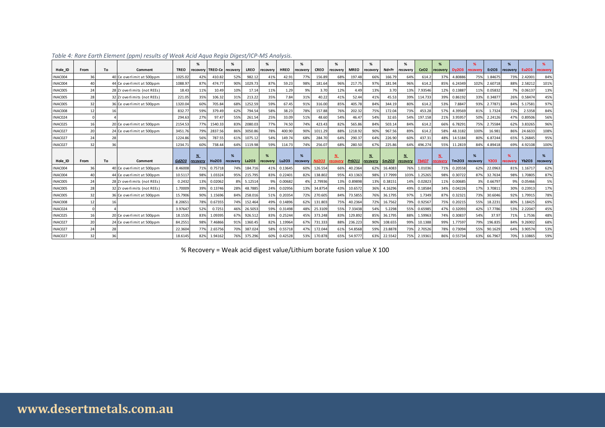|                    |          |    | Table 4: Rare Earth Element (ppm) results of Weak Acid Aqua Regia Digest/ICP-MS Analysis. |                    |                                   |                    |               |                    |                     |                    |               |                    |                          |                    |               |                    |                             |                    |                           |                    |               |                    |              |                    |               |
|--------------------|----------|----|-------------------------------------------------------------------------------------------|--------------------|-----------------------------------|--------------------|---------------|--------------------|---------------------|--------------------|---------------|--------------------|--------------------------|--------------------|---------------|--------------------|-----------------------------|--------------------|---------------------------|--------------------|---------------|--------------------|--------------|--------------------|---------------|
|                    |          |    |                                                                                           |                    |                                   |                    | %             |                    | %                   |                    | %             |                    | %                        |                    | %             |                    | %                           |                    | %                         |                    | %             |                    | %            |                    | %             |
| Hole ID            | From     | To | Comment                                                                                   | <b>TREO</b>        | recovery                          | TREO-Ce recovery   |               | <b>LREO</b>        | recovery            | <b>HREO</b>        | recovery      | <b>CREO</b>        | recovery                 | <b>MREO</b>        | recoverv      | Nd+Pr              | recovery                    | CeO <sub>2</sub>   | recovery                  | <b>Dy203</b>       | ecoven        | Er2O3              | recovery     | Eu2O3              | ecovery       |
| INAC004            | 36       |    | 40 Ce overlimit at 500ppm                                                                 | 1025.02            | 42%                               | 410.82             | 52%           | 982.12             | 41%                 | 42.91              | 77%           | 156.89             | 68%                      | 197.48             | 66%           | 166.79             | 64%                         | 614.2              | 37%                       | 4.80886            | 75%           | 1.84675            | 73%          | 2.42001            | 84%           |
| INAC004            | 40       |    | 44 Ce overlimit at 500ppm                                                                 | 1088.97            | 87%                               | 474.77             | 90%           | 1029.73            | 87%                 | 59.23              | 98%           | 181.64             | 96%                      | 217.75             | 97%           | 181.94             | 96%                         | 614.2              | 85%                       | 6.24349            | 102%          | 2.60718            | 88%          | 2.58212            | 101%          |
| INAC005            | 24       |    | 28 Zr overlimits (not REEs)                                                               | 18.43              | 11%                               | 10.49              | 10%           | 17.14              | 11%                 | 1.29               | 9%            | 3.70               | 12%                      | 4.49               | 13%           | 3.70               | 13%                         | 7.93546            | 12%                       | 0.13887            | 11%           | 0.05832            | 7%           | 0.06137            | 13%           |
| <b>INAC005</b>     | 28       |    | 32 Zr overlimits (not REEs)                                                               | 221.05             | 35%                               | 106.32             | 31%           | 213.22             | 35%                 | 7.84               | 31%           | 40.22              | 41%                      | 52.44              | 41%           | 45.53              | 39%                         | 114.733            | 39%                       | 0.86192            | 33%           | 0.34877            | 26%          | 0.58474            | 45%           |
| INAC005            | 32       |    | 36 Ce overlimit at 500ppm                                                                 | 1320.04            | 60%                               | 705.84             | 68%           | 1252.59            | 59%                 | 67.45              | 91%           | 316.00             | 85%                      | 405.78             | 84%           | 344.19             | 80%                         | 614.2              | 53%                       | 7.8847             | 93%           | 2.77871            | 84%          | 5.17581            | 97%           |
| INAC008            | 12       |    |                                                                                           | 832.77             | 59%                               | 379.49             | 62%           | 794.54             | 58%                 | 38.23              | 78%           | 157.88             | 76%                      | 202.32             | 75%           | 172.04             | 73%                         | 453.28             | 57%                       | 4.39569            | 81%           | 1.7324             | 72%          | 2.5358             | 84%           |
| INAC024            | $\Omega$ |    |                                                                                           | 294.63             | 27%                               | 97.47              | 55%           | 261.54             | 25%                 | 33.09              | 51%           | 48.60              | 54%                      | 46.47              | 54%           | 32.65              | 54%                         | 197.158            | 21%                       | 3.95957            | 50%           | 2.24126            | 47%          | 0.89506            | 56%           |
| INAC025            | 16       |    | 20 Ce overlimit at 500ppm                                                                 | 2154.53            | 77%                               | 1540.33            | 83%           | 2080.03            | 77%                 | 74.50              | 74%           | 423.43             | 82%                      | 565.86             | 84%           | 503.14             | 84%                         | 614.2              | 66%                       | 6.78291            | 75%           | 2.75584            | 62%          | 3.83265            | 96%           |
| INAC027            | 20       |    | 24 Ce overlimit at 500ppm                                                                 | 3451.76            | 79%                               | 2837.56            | 86%           | 3050.86            | 78%                 | 400.90             | 90%           | 1011.29            | 88%                      | 1218.92            | 90%           | 967.56             | 89%                         | 614.2              | 58%                       | 48.3182            | 100%          | 16.981             | 86%          | 24.6633            | 108%          |
| INAC027            | 24       | 28 |                                                                                           | 1224.86            | 56%                               | 787.55             | 61%           | 1075.12            | 54%                 | 149.74             | 68%           | 284.70             | 64%                      | 290.37             | 64%           | 226.90             | 60%                         | 437.31             | 48%                       | 14.5184            | 80%           | 6.87244            | 65%          | 5.26845            | 95%           |
| INAC027            | 32       | 36 |                                                                                           | 1234.7             | 60%                               | 738.44             | 64%           | 1119.98            | 59%                 | 114.73             | 74%           | 256.07             | 68%                      | 280.50             | 67%           | 225.86             | 64%                         | 496.274            | 55%                       | 11.2819            | 84%           | 4.89418            | 69%          | 4.92108            | 100%          |
|                    |          |    |                                                                                           |                    |                                   |                    |               |                    |                     |                    |               |                    |                          |                    |               |                    |                             |                    |                           |                    |               |                    |              |                    |               |
| Hole ID            | From     | To | Comment                                                                                   | Gd2O3              | $\frac{96}{6}$<br><b>recovery</b> | Ho2O3              | %<br>recovery | La203              | %<br><b>ecovery</b> | Lu2O3              | %<br>recovery | Nd2O3              | $\frac{96}{6}$<br>covei? | Pr6O11             | %<br>recovery | Sm2O3              | $\frac{\%}{\%}$<br>recovery | <b>Tb4O7</b>       | $\frac{96}{6}$<br>covery: | Tm203              | %<br>recovery | <b>Y2O3</b>        | %<br>ecovery | <b>Yb2O3</b>       | %<br>recovery |
| INAC004            | 36       |    | 40 Ce overlimit at 500ppm                                                                 | 8.46008            | 71%                               | 0.75718            | 74%           | 184.716            | 41%                 | 0.13645            | 60%           | 126.554            | 66%                      | 40.2364            | 62%           | 16,4083            | 76%                         | 1.01036            | 71%                       | 0.20558            | 62%           | 22.0963            | 81%          | 1.16717            | 62%           |
| INAC004            | 40       |    | 44 Ce overlimit at 500ppm                                                                 | 10.5117            | 98%                               | 1.03324            | 95%           | 215.795            | 83%                 | 0.22401            | 82%           | 138.802            | 95%                      | 43.1363            | 98%           | 17.7999            | 103%                        | 1.25265            | 98%                       | 0.30722            | 87%           | 32.7634            | 98%          | 1.70805            | 87%           |
| INAC005            | 24       |    | 28 Zr overlimits (not REEs)                                                               | 0.2432             | 13%                               | 0.02062            | 8%            | 5.12514            | 9%                  | 0.00682            | 49            | 2.7993             | 13%                      | 0.89898            | 13%           | 0.38151            | 14%                         | 0.02823            | 11%                       | 0.00685            | 3%            | 0.66797            | 9%           | 0.05466            | 5%            |
| <b>INAC005</b>     | 28       |    | 32 Zr overlimits (not REEs)                                                               | 1.70009            | 39%                               | 0.13746            | 28%           | 48.7885            | 24%                 | 0.02956            | 13%           | 34.8754            | 43%                      | 10.6572            | 36%           | 4.16296            | 49%                         | 0.18584            | 34%                       | 0.04226            | 17%           | 3.70811            | 30%          | 0.23913            | 17%           |
| <b>INAC005</b>     | 32       |    | 36 Ce overlimit at 500ppm                                                                 | 15.7906            | 90%                               | 1.15696            | 84%           | 258.016            | 51%                 | 0.20354            | 72%           | 270.605            | 84%                      | 73.5855            | 76%           | 36.1795            | 97%                         | 1.7349             | 87%                       | 0.32321            | 73%           | 30.6046            | 92%          | 1.7991             | 78%           |
| INAC008            | 12       | 16 |                                                                                           | 8.2065             | 78%                               | 0.67355            | 74%           | 152.464            | 49%                 | 0.14896            | 62%           | 131.803            | 75%                      | 40.2364            | 72%           | 16.7562            | 79%                         | 0.92567            | 75%                       | 0.20215            | 55%           | 18.2231            | 80%          | 1.18425            | 69%           |
| INAC024            | $\Omega$ |    |                                                                                           | 3.97647            | 52%                               | 0.7251             | 46%           | 26.5053            | 59%                 | 0.31498            | 48%           | 25.3109            | 55%                      | 7.33438            | 54%           | 5.2298             | 55%                         | 0.65985            | 47%                       | 0.32093            | 42%           | 17.7786            | 53%          | 2.22047            | 45%           |
| INAC025            |          |    |                                                                                           |                    |                                   |                    |               |                    |                     |                    |               |                    |                          |                    |               |                    |                             |                    |                           |                    |               |                    |              |                    |               |
|                    |          |    |                                                                                           |                    |                                   |                    |               |                    |                     |                    |               |                    |                          |                    |               |                    |                             |                    |                           |                    |               |                    |              |                    |               |
|                    | 16       |    | 20 Ce overlimit at 500ppm                                                                 | 18.1535            | 83%                               | 1.09395            | 67%           | 926.512            | 83%                 | 0.25244            | 45%           | 373.248            | 83%                      | 129.892            | 85%           | 36.1795            | 88%                         | 1.59963            | 74%                       | 0.30837            | 54%           | 37.97              | 71%          | 1.7536             | 48%           |
| INAC027<br>INAC027 | 20<br>24 | 28 | 24 Ce overlimit at 500ppm                                                                 | 84.2553<br>22.3604 | 98%<br>77%                        | 7.46866<br>2.65756 | 91%<br>70%    | 1360.45<br>387.024 | 82%<br>58%          | 1.19964<br>0.55718 | 67%<br>47%    | 731.333<br>172.044 | 88%<br>61%               | 236.223<br>54.8568 | 90%<br>59%    | 108.655<br>23.8878 | 99%<br>73%                  | 10.1388<br>2.70526 | 99%<br>78%                | 1.77597<br>0.73094 | 79%<br>55%    | 196.835<br>90.1629 | 84%<br>64%   | 9.26902<br>3.90574 | 68%<br>53%    |

#### *Table 4: Rare Earth Element (ppm) results of Weak Acid Aqua Regia Digest/ICP-MS Analysis.*

% Recovery = Weak acid digest value/Lithium borate fusion value X 100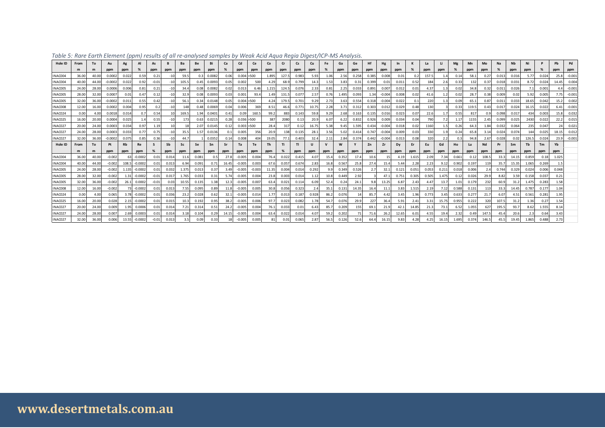| Table 5: Rare Earth Element (ppm) results of all re-analysed samples by Weak Acid Aqua Regia Digest/ICP-MS Analysis. |               |             |                 |                    |            |           |             |              |       |              |            |             |                  |                    |            |             |           |                      |           |           |             |                |             |            |           |           |           |              |            |             |                  |             |             |            |           |
|----------------------------------------------------------------------------------------------------------------------|---------------|-------------|-----------------|--------------------|------------|-----------|-------------|--------------|-------|--------------|------------|-------------|------------------|--------------------|------------|-------------|-----------|----------------------|-----------|-----------|-------------|----------------|-------------|------------|-----------|-----------|-----------|--------------|------------|-------------|------------------|-------------|-------------|------------|-----------|
| Hole ID                                                                                                              | From<br>m     | To<br>m     | Au<br>ppm       | Ag<br>ppm          | %          | As<br>ppm | ppm         | ppm          | ppm   | ppm          | %          | Cd<br>ppm   | <b>Ce</b><br>ppm | ppm                | ppm        | ppm         | Cu<br>ppm | <b>Fe</b><br>%       | Ga<br>ppm | Ge<br>ppm | Hf<br>ppm   | Hg<br>ppm      | In<br>ppm   | к<br>%     | La<br>ppm | Li<br>ppm | Mg<br>%   | Mn<br>ppm    | Mo<br>ppm  | Na<br>%     | <b>Nb</b><br>ppm | Ni<br>ppm   | P<br>%      | Pb<br>ppm  | Pd<br>ppm |
| INAC004                                                                                                              | 36.00         | 40.00       | 0.0002          | 0.022              | 0.59       | 0.21      | $-10$       | 59.5         | 0.3   | 0.0082       | 0.06       | 0.004 > 500 |                  | 1.895              | 127.5      | 0.983       | 5.93      | 1.06                 | 2.56      | 0.258     | 0.385       | 0.008          | 0.01        | 0.2        | 157.5     | 1.4       | 0.14      | 58.1         | 0.27       | 0.013       | 0.016            | 5.77        | 0.024       | 25.8       | $-0.001$  |
| INAC004                                                                                                              | 40.00         | 44.00       | $-0.0002$       | 0.022              | 0.92       | $-0.01$   | $-10$       | 105.5        | 0.45  | 0.0093       | 0.05       | 0.002       | 500              | 4.29               | 68.9       | 0.799       | 14.3      | 1.53                 | 3.83      | 0.31      | 0.399       | 0.01           | 0.011       | 0.52       | 184       | 2.6       | 0.33      | 132          | 0.37       | 0.018       | 0.031            | 8.72        | 0.024       | 14.45      | 0.004     |
| INAC005                                                                                                              | 24.00         | 28.00       | 0.0006          | 0.006              | 0.81       | 0.21      | $-10$       | 34.4         | 0.08  | 0.0082       | 0.02       | 0.013       | 6.46             | 1.215              | 124.5      | 0.076       | 2.33      | 0.81                 | 2.25      | 0.033     | 0.891       | 0.007          | 0.012       | 0.01       | 4.37      |           | 0.02      | 34.8         | 0.32       | 0.011       | 0.026            | 7.1         | 0.001       | 4.4        | $-0.00$   |
| INAC005                                                                                                              | 28.00         | 32.00       | 0.0007          | 0.01               | 0.47       | 0.12      | $-10$       | 32.9         | 0.08  | 0.0093       | 0.03       | 0.001       | 93.4             | 1.49               | 131.5      | 0.077       | 2.57      | 0.76                 | 1.495     | 0.093     | 1.34        | $-0.004$       | 0.008       | 0.02       | 41.6      |           | 0.02      | 28.7         | 0.38       | 0.009       | 0.02             | 5.92        | 0.005       | 7.75       | $-0.001$  |
| INAC005                                                                                                              | 32.00         | 36.00       | $-0.0002$       | 0.011              | 0.55       | 0.42      | $-10$       | 56.1         | 0.34  | 0.0148       | 0.05       | 0.004 > 500 |                  | 4.24               | 179.5      | 0.701       | 9.29      | 2.73                 | 3.63      | 0.554     | 0.318       | $-0.004$       | 0.022       | 0.1        | 220       | 1.3       | 0.09      | 65.1         | 0.87       | 0.011       | 0.033            | 18.65       | 0.042       | 15.2       | 0.00      |
| INAC008                                                                                                              | 12.00         | 16.00       | 0.0002          | 0.004              | 0.95       | 0.2       |             | 148          | 0.48  | 0.0069       | 0.04       | 0.006       | 369              | 8.51               | 46.6       | 0.771       | 10.75     | 2.28                 | 3.71      | 0.312     | 0.303       | 0.012          | 0.029       | 0.48       | 130       |           | 0.33      | 119.5        | 0.43       | 0.017       | 0.024            | 16.15       | 0.022       | 6.41       | $-0.00$   |
| INAC024                                                                                                              | 0.00          | 4.00        | 0.0018          | 0.014              | 0.7        | 0.54      |             | 169.5        | 1.94  | 0.0401       | 0.41       | 0.09        | 160.5            | 99.2               | 883        | 0.143       | 59.8      | 9.29                 | 2.68      | 0.163     | 0.135       | 0.016          | 0.023       | 0.07       | 22.6      | 1.7       | 0.55      | 817          | 0.9        | 0.098       | 0.017            | 434         | 0.003       | 15.8       | 0.032     |
| INAC025                                                                                                              | 16.00         | 20.00       | 0.0004          | 0.025              | 1.4        | 0.55      | $-10$       | 173          | 0.63  | 0.0215       | 0.28       | 0.036 > 500 |                  | 387                | 2080       | 0.13        | 20.9      | 6.07                 | 6.22      | 0.832     | 0.926       | 0.009          | 0.034       | 0.04       | 790       | 7.2       | 1.17      | 1155         | 2.45       | 0.099       | 0.025            | 2430        | 0.022       | 22.2       | 0.01      |
| INAC027                                                                                                              | 20.00         | 24.00       | 0.0003          | 0.034              | 0.97       | 1.19      |             |              | 2.07  | 0.0145       | 0.12       | 0.003 > 500 |                  | 28.4               | 317        | 0.12        | 16.75     | 5.38                 | 9.45      | 1.595     | 0.434       | $-0.004$       | 0.018       | 0.02       | 1160      | 1.5       | 0.26      | 64.3         | 1.84       | 0.032       | 0.064            | 235         | 0.047       | 24         | 0.02      |
| INAC027                                                                                                              | 24.00         | 28.00       | 0.0003          | 0.033              | 0.77       | 0.75      | $-10$       | 35.5<br>44.7 | 1.57  | 0.0136       | 0.1        | 0.005       | 356              | 20.9               | 138        | 0.135       | 28.1      | 3.56                 | 5.02      | 0.414     | 0.747       | $-0.004$       | 0.009       | 0.03       | 330       |           | 0.24      | 65.8<br>94.8 | 3.14       | 0.024       | 0.074            | 144         | 0.025       | 18.15      | 0.012     |
| INAC027<br>Hole ID                                                                                                   | 32.00<br>From | 36.00<br>To | $-0.0002$<br>Pt | 0.075<br><b>Rb</b> | 0.85<br>Re | 0.36      | $-10$<br>Sb | Sc           | Se    | 0.0352<br>Sn | 0.14<br>Sr | 0.008<br>Ta | 404<br>Te        | 19.05<br><b>Th</b> | 77.1<br>Ti | 0.403<br>T1 | 32.4<br>U | 2.11<br>$\mathsf{v}$ | 2.84<br>W | 0.374     | 0.442<br>Zn | $-0.004$<br>Zr | 0.013<br>Dy | 0.08<br>Er | 320<br>Eu | 2.2<br>Gd | 0.3<br>Ho | Lu           | 2.67<br>Nd | 0.028<br>Pr | 0.02<br>Sm       | 126.5<br>Tb | 0.024<br>Tm | 23.9<br>Yb | $-0.001$  |
|                                                                                                                      | m             | m           | ppm             | ppm                | ppm        | %         | ppm         | ppm          | ppm   | ppm          | ppm        | ppm         | ppm              | ppm                | %          | ppm         | ppm       | ppm                  | ppm       | ppm       | ppm         | ppm            | ppm         | ppm        | ppm       | ppm       | ppm       | ppm          | ppm        | ppm         | ppm              | ppm         | ppm         | ppm        |           |
| INAC004                                                                                                              | 36.00         | 40.00       | $-0.002$        |                    | $-0.0002$  | 0.01      | 0.014       | 11.6         | 0.081 | 0.5          | 27.8       | $-0.005$    | 0.004            | 76.4               | 0.022      | 0.415       | 4.07      | 15.4                 | 0.352     | 17.4      | 10.6        |                | 4.19        | 1.615      | 2.09      | 7.34      | 0.661     | 0.12         | 108.5      | 33.3        | 14.15            | 0.859       | 0.18        | 1.025      |           |
| INAC004                                                                                                              | 40.00         | 44.00       | $-0.002$        | 108.5              | $-0.0002$  | 0.01      | 0.013       | 6.94         | 0.091 | 0.71         | 16.45      | $-0.005$    | 0.003            | 67.6               | 0.057      | 0.674       | 2.83      | 16.8                 | 0.567     | 25.8      | 27.4        | 15.4           | 5.44        | 2.28       | 2.23      | 9.12      | 0.902     | 0.197        | 119        | 35.7        | 15.35            | 1.065       | 0.269       | 1.5        |           |
| INAC005                                                                                                              | 24.00         | 28.00       | $-0.002$        | 1.135              | $-0.0002$  | 0.01      | 0.032       | 1.375        | 0.013 | 0.37         | 3.49       | $-0.005$    | $-0.003$         | 11.35              | 0.004      | 0.014       | 0.292     | 9.9                  | 0.349     | 0.526     | 2.7         | 32.1           | 0.121       | 0.051      | 0.053     | 0.211     | 0.018     | 0.006        | 2.4        | 0.744       | 0.329            | 0.024       | 0.006       | 0.048      |           |
| <b>INAC005</b>                                                                                                       | 28.00         | 32.00       | $-0.002$        | 1.31               | $-0.0002$  | $-0.01$   | 0.017       | 1.765        | 0.033 | 0.31         | 5.74       | $-0.005$    | 0.004            | 23.8               | 0.003      | 0.014       | 1.12      | 10.8                 | 0.449     | 2.92      |             | 47.            | 0.751       | 0.305      | 0.505     | 1.475     | 0.12      | 0.026        | 29.9       | 8.82        | 3.59             | 0.158       | 0.037       | 0.21       |           |
| <b>INAC005</b>                                                                                                       | 32.00         | 36.00       | $-0.002$        | 26.1               | 0.0002     | $-0.01$   | 0.03        | 10.55        | 0.135 | 1.38         | 12.3       | $-0.005$    | 0.007            | 63.4               | 0.021      | 0.114       | 6.09      | 52.4                 | 0.24      | 24.1      | 9.8         | 13.25          | 6.87        | 2.43       | 4.47      | 13.7      | 1.01      | 0.179        | 232        | 60.9        | 31.2             | 1.475       | 0.283       | 1.58       |           |
| INAC008                                                                                                              | 12.00         | 16.00       | $-0.002$        | 73                 | $-0.0002$  | 0.01      | 0.013       | 7.55         | 0.095 | 0.89         | 11.8       | $-0.005$    | 0.005            | 30.8               | 0.056      | 0.323       | 2.4       | 35.1                 | 0.131     | 14.35     | 16.4        | 11.1           | 3.83        | 1.515      | 2.19      | 7.12      | 0.588     | 0.131        | 113        | 33.3        | 14.45            | 0.787       | 0.177       | 1.04       |           |
| INAC024                                                                                                              | 0.00          | 4.00        | 0.065           | 3.78               | $-0.0002$  | 0.01      | 0.036       | 23.2         | 0.028 | 0.62         | 32.1       | $-0.005$    | 0.014            | 1.77               | 0.013      | 0.187       | 0.928     | 86.2                 | 0.076     | 14        | 85.7        | 4.42           | 3.45        | 1.96       | 0.773     | 3.45      | 0.633     | 0.277        | 21.7       | 6.07        | 4.51             | 0.561       | 0.281       | 1.95       |           |
| INAC025                                                                                                              | 16.00         | 20.00       | 0.028           | 2.15               | $-0.0002$  | 0.01      | 0.015       | 10.3         | 0.192 | 0.95         | 38.2       | $-0.005$    | 0.006            | 97.7               | 0.023      | 0.082       | 1.78      | 54.7                 | 0.076     | 29.9      | 227         | 36.4           | 5.91        | 2.41       | 3.31      | 15.75     | 0.955     | 0.222        | 320        | 107.5       | 31.2             | 1.36        | 0.27        | 1.54       |           |
| INAC027                                                                                                              | 20.00         | 24.00       | 0.009           | 1.95               | 0.0006     | 0.01      | 0.014       | 7.21         | 0.314 | 0.51         | 24.2       | $-0.005$    | 0.004            | 76.1               | 0.033      | 0.01        | 6.43      | 85.7                 | 0.209     | 155       | 69.1        | 21.9           | 42.1        | 14.85      | 21.3      | 73.1      | 6.52      | 1.055        | 627        | 195.5       | 93.7             | 8.62        | 1.555       | 8.14       |           |
| INAC027                                                                                                              | 24.00         | 28.00       | 0.007           | 2.69               | 0.0003     | 0.01      | 0.014       | 3.18         | 0.104 | 0.29         | 14.15      | $-0.005$    | 0.004            | 63.4               | 0.022      | 0.014       | 4.07      | 59.2                 | 0.202     | 71        | 71.6        | 26.2           | 12.65       | 6.01       | 4.55      | 19.4      | 2.32      | 0.49         | 147.5      | 45.4        | 20.6             | 2.3         | 0.64        | 3.43       |           |
| INAC027                                                                                                              | 32.00         | 36.00       | 0.006           | 13.55              | $-0.0002$  | $-0.01$   | 0.013       | 3.5          | 0.09  | 0.33         |            | $-0.005$    | 0.005            | 81                 | 0.01       | 0.065       | 2.87      | 56.5                 | 0.126     | 52.6      | 64.4        | 16.15          | 9.83        | 4.28       | 4.25      | 16.15     | 1.695     | 0.374        | 146.5      | 45.5        | 19.45            | 1.865       | 0.488       | 2.73       |           |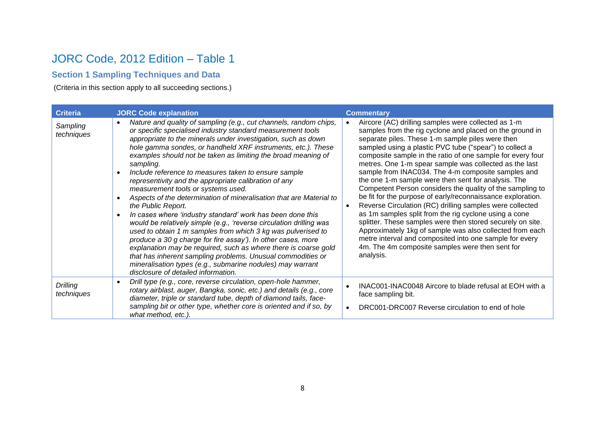## JORC Code, 2012 Edition – Table 1

## **Section 1 Sampling Techniques and Data**

(Criteria in this section apply to all succeeding sections.)

| <b>Criteria</b>        | <b>JORC Code explanation</b>                                                                                                                                                                                                                                                                                                                                                                                                                                                                                                                                                                                                                                                                                                                                                                                                                                                                                                                                                                                                                                                                                                              | <b>Commentary</b>                                                                                                                                                                                                                                                                                                                                                                                                                                                                                                                                                                                                                                                                                                                                                                                                                                                                                                                                                         |
|------------------------|-------------------------------------------------------------------------------------------------------------------------------------------------------------------------------------------------------------------------------------------------------------------------------------------------------------------------------------------------------------------------------------------------------------------------------------------------------------------------------------------------------------------------------------------------------------------------------------------------------------------------------------------------------------------------------------------------------------------------------------------------------------------------------------------------------------------------------------------------------------------------------------------------------------------------------------------------------------------------------------------------------------------------------------------------------------------------------------------------------------------------------------------|---------------------------------------------------------------------------------------------------------------------------------------------------------------------------------------------------------------------------------------------------------------------------------------------------------------------------------------------------------------------------------------------------------------------------------------------------------------------------------------------------------------------------------------------------------------------------------------------------------------------------------------------------------------------------------------------------------------------------------------------------------------------------------------------------------------------------------------------------------------------------------------------------------------------------------------------------------------------------|
| Sampling<br>techniques | Nature and quality of sampling (e.g., cut channels, random chips,<br>$\bullet$<br>or specific specialised industry standard measurement tools<br>appropriate to the minerals under investigation, such as down<br>hole gamma sondes, or handheld XRF instruments, etc.). These<br>examples should not be taken as limiting the broad meaning of<br>sampling.<br>Include reference to measures taken to ensure sample<br>$\bullet$<br>representivity and the appropriate calibration of any<br>measurement tools or systems used.<br>Aspects of the determination of mineralisation that are Material to<br>the Public Report.<br>In cases where 'industry standard' work has been done this<br>would be relatively simple (e.g., 'reverse circulation drilling was<br>used to obtain 1 m samples from which 3 kg was pulverised to<br>produce a 30 g charge for fire assay'). In other cases, more<br>explanation may be required, such as where there is coarse gold<br>that has inherent sampling problems. Unusual commodities or<br>mineralisation types (e.g., submarine nodules) may warrant<br>disclosure of detailed information. | Aircore (AC) drilling samples were collected as 1-m<br>samples from the rig cyclone and placed on the ground in<br>separate piles. These 1-m sample piles were then<br>sampled using a plastic PVC tube ("spear") to collect a<br>composite sample in the ratio of one sample for every four<br>metres. One 1-m spear sample was collected as the last<br>sample from INAC034. The 4-m composite samples and<br>the one 1-m sample were then sent for analysis. The<br>Competent Person considers the quality of the sampling to<br>be fit for the purpose of early/reconnaissance exploration.<br>Reverse Circulation (RC) drilling samples were collected<br>as 1m samples split from the rig cyclone using a cone<br>splitter. These samples were then stored securely on site.<br>Approximately 1kg of sample was also collected from each<br>metre interval and composited into one sample for every<br>4m. The 4m composite samples were then sent for<br>analysis. |
| Drilling<br>techniques | Drill type (e.g., core, reverse circulation, open-hole hammer,<br>rotary airblast, auger, Bangka, sonic, etc.) and details (e.g., core<br>diameter, triple or standard tube, depth of diamond tails, face-<br>sampling bit or other type, whether core is oriented and if so, by<br>what method, etc.).                                                                                                                                                                                                                                                                                                                                                                                                                                                                                                                                                                                                                                                                                                                                                                                                                                   | INAC001-INAC0048 Aircore to blade refusal at EOH with a<br>face sampling bit.<br>DRC001-DRC007 Reverse circulation to end of hole                                                                                                                                                                                                                                                                                                                                                                                                                                                                                                                                                                                                                                                                                                                                                                                                                                         |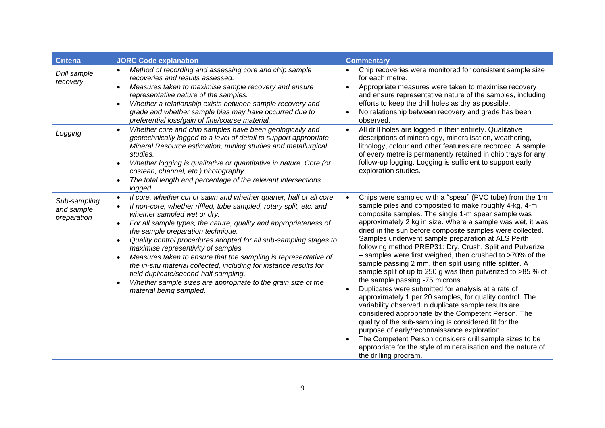| <b>Criteria</b>                           | <b>JORC Code explanation</b>                                                                                                                                                                                                                                                                                                                                                                                                                                                                                                                                                                                                                                                                                                                | <b>Commentary</b>                                                                                                                                                                                                                                                                                                                                                                                                                                                                                                                                                                                                                                                                                                                                                                                                                                                                                                                                                                                                                                                                                                                                                        |
|-------------------------------------------|---------------------------------------------------------------------------------------------------------------------------------------------------------------------------------------------------------------------------------------------------------------------------------------------------------------------------------------------------------------------------------------------------------------------------------------------------------------------------------------------------------------------------------------------------------------------------------------------------------------------------------------------------------------------------------------------------------------------------------------------|--------------------------------------------------------------------------------------------------------------------------------------------------------------------------------------------------------------------------------------------------------------------------------------------------------------------------------------------------------------------------------------------------------------------------------------------------------------------------------------------------------------------------------------------------------------------------------------------------------------------------------------------------------------------------------------------------------------------------------------------------------------------------------------------------------------------------------------------------------------------------------------------------------------------------------------------------------------------------------------------------------------------------------------------------------------------------------------------------------------------------------------------------------------------------|
| Drill sample<br>recovery                  | Method of recording and assessing core and chip sample<br>recoveries and results assessed.<br>Measures taken to maximise sample recovery and ensure<br>$\bullet$<br>representative nature of the samples.<br>Whether a relationship exists between sample recovery and<br>$\bullet$<br>grade and whether sample bias may have occurred due to<br>preferential loss/gain of fine/coarse material.                                                                                                                                                                                                                                                                                                                                            | Chip recoveries were monitored for consistent sample size<br>for each metre.<br>Appropriate measures were taken to maximise recovery<br>$\bullet$<br>and ensure representative nature of the samples, including<br>efforts to keep the drill holes as dry as possible.<br>No relationship between recovery and grade has been<br>observed.                                                                                                                                                                                                                                                                                                                                                                                                                                                                                                                                                                                                                                                                                                                                                                                                                               |
| Logging                                   | Whether core and chip samples have been geologically and<br>$\bullet$<br>geotechnically logged to a level of detail to support appropriate<br>Mineral Resource estimation, mining studies and metallurgical<br>studies.<br>Whether logging is qualitative or quantitative in nature. Core (or<br>$\bullet$<br>costean, channel, etc.) photography.<br>The total length and percentage of the relevant intersections<br>logged.                                                                                                                                                                                                                                                                                                              | All drill holes are logged in their entirety. Qualitative<br>$\bullet$<br>descriptions of mineralogy, mineralisation, weathering,<br>lithology, colour and other features are recorded. A sample<br>of every metre is permanently retained in chip trays for any<br>follow-up logging. Logging is sufficient to support early<br>exploration studies.                                                                                                                                                                                                                                                                                                                                                                                                                                                                                                                                                                                                                                                                                                                                                                                                                    |
| Sub-sampling<br>and sample<br>preparation | If core, whether cut or sawn and whether quarter, half or all core<br>$\bullet$<br>If non-core, whether riffled, tube sampled, rotary split, etc. and<br>whether sampled wet or dry.<br>For all sample types, the nature, quality and appropriateness of<br>$\bullet$<br>the sample preparation technique.<br>Quality control procedures adopted for all sub-sampling stages to<br>$\bullet$<br>maximise representivity of samples.<br>Measures taken to ensure that the sampling is representative of<br>$\bullet$<br>the in-situ material collected, including for instance results for<br>field duplicate/second-half sampling.<br>Whether sample sizes are appropriate to the grain size of the<br>$\bullet$<br>material being sampled. | Chips were sampled with a "spear" (PVC tube) from the 1m<br>$\bullet$<br>sample piles and composited to make roughly 4-kg, 4-m<br>composite samples. The single 1-m spear sample was<br>approximately 2 kg in size. Where a sample was wet, it was<br>dried in the sun before composite samples were collected.<br>Samples underwent sample preparation at ALS Perth<br>following method PREP31: Dry, Crush, Split and Pulverize<br>- samples were first weighed, then crushed to >70% of the<br>sample passing 2 mm, then split using riffle splitter. A<br>sample split of up to 250 g was then pulverized to >85 % of<br>the sample passing -75 microns.<br>Duplicates were submitted for analysis at a rate of<br>$\bullet$<br>approximately 1 per 20 samples, for quality control. The<br>variability observed in duplicate sample results are<br>considered appropriate by the Competent Person. The<br>quality of the sub-sampling is considered fit for the<br>purpose of early/reconnaissance exploration.<br>The Competent Person considers drill sample sizes to be<br>appropriate for the style of mineralisation and the nature of<br>the drilling program. |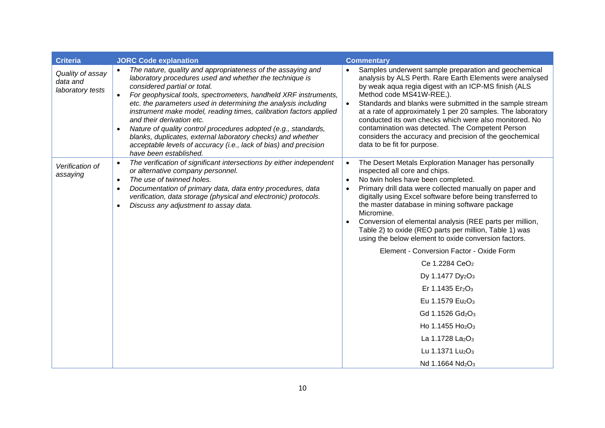| <b>Criteria</b>                                  | <b>JORC Code explanation</b>                                                                                                                                                                                                                                                                                                                                                                                                                                                                                                                                                                                                 | <b>Commentary</b>                                                                                                                                                                                                                                                                                                                                                                                                                                                                                                                                                                                                                                                                                                                                                                                                                                                                                                                                         |
|--------------------------------------------------|------------------------------------------------------------------------------------------------------------------------------------------------------------------------------------------------------------------------------------------------------------------------------------------------------------------------------------------------------------------------------------------------------------------------------------------------------------------------------------------------------------------------------------------------------------------------------------------------------------------------------|-----------------------------------------------------------------------------------------------------------------------------------------------------------------------------------------------------------------------------------------------------------------------------------------------------------------------------------------------------------------------------------------------------------------------------------------------------------------------------------------------------------------------------------------------------------------------------------------------------------------------------------------------------------------------------------------------------------------------------------------------------------------------------------------------------------------------------------------------------------------------------------------------------------------------------------------------------------|
| Quality of assay<br>data and<br>laboratory tests | The nature, quality and appropriateness of the assaying and<br>laboratory procedures used and whether the technique is<br>considered partial or total.<br>For geophysical tools, spectrometers, handheld XRF instruments,<br>etc. the parameters used in determining the analysis including<br>instrument make model, reading times, calibration factors applied<br>and their derivation etc.<br>Nature of quality control procedures adopted (e.g., standards,<br>blanks, duplicates, external laboratory checks) and whether<br>acceptable levels of accuracy (i.e., lack of bias) and precision<br>have been established. | Samples underwent sample preparation and geochemical<br>analysis by ALS Perth. Rare Earth Elements were analysed<br>by weak aqua regia digest with an ICP-MS finish (ALS<br>Method code MS41W-REE,).<br>Standards and blanks were submitted in the sample stream<br>$\bullet$<br>at a rate of approximately 1 per 20 samples. The laboratory<br>conducted its own checks which were also monitored. No<br>contamination was detected. The Competent Person<br>considers the accuracy and precision of the geochemical<br>data to be fit for purpose.                                                                                                                                                                                                                                                                                                                                                                                                      |
| Verification of<br>assaying                      | The verification of significant intersections by either independent<br>or alternative company personnel.<br>The use of twinned holes.<br>Documentation of primary data, data entry procedures, data<br>verification, data storage (physical and electronic) protocols.<br>Discuss any adjustment to assay data.                                                                                                                                                                                                                                                                                                              | The Desert Metals Exploration Manager has personally<br>$\bullet$<br>inspected all core and chips.<br>No twin holes have been completed.<br>Primary drill data were collected manually on paper and<br>digitally using Excel software before being transferred to<br>the master database in mining software package<br>Micromine.<br>Conversion of elemental analysis (REE parts per million,<br>Table 2) to oxide (REO parts per million, Table 1) was<br>using the below element to oxide conversion factors.<br>Element - Conversion Factor - Oxide Form<br>Ce 1.2284 CeO <sub>2</sub><br>Dy 1.1477 Dy <sub>2</sub> O <sub>3</sub><br>Er 1.1435 Er <sub>2</sub> O <sub>3</sub><br>Eu 1.1579 Eu <sub>2</sub> O <sub>3</sub><br>Gd 1.1526 Gd <sub>2</sub> O <sub>3</sub><br>Ho 1.1455 Ho <sub>2</sub> O <sub>3</sub><br>La 1.1728 La <sub>2</sub> O <sub>3</sub><br>Lu 1.1371 Lu <sub>2</sub> O <sub>3</sub><br>Nd 1.1664 Nd <sub>2</sub> O <sub>3</sub> |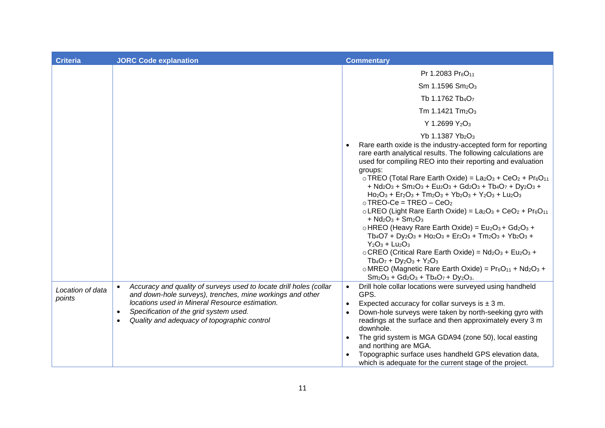| <b>Criteria</b>            | <b>JORC Code explanation</b>                                                                                                                                                                                                                                                                                      | <b>Commentary</b>                                                                                                                                                                                                                                                                                                                                                                                                                                                                                                                                                                                                                                                                                                                                                                                                                                                                                                                                                                                                                                                                                                                                                                                                  |
|----------------------------|-------------------------------------------------------------------------------------------------------------------------------------------------------------------------------------------------------------------------------------------------------------------------------------------------------------------|--------------------------------------------------------------------------------------------------------------------------------------------------------------------------------------------------------------------------------------------------------------------------------------------------------------------------------------------------------------------------------------------------------------------------------------------------------------------------------------------------------------------------------------------------------------------------------------------------------------------------------------------------------------------------------------------------------------------------------------------------------------------------------------------------------------------------------------------------------------------------------------------------------------------------------------------------------------------------------------------------------------------------------------------------------------------------------------------------------------------------------------------------------------------------------------------------------------------|
|                            |                                                                                                                                                                                                                                                                                                                   | Pr 1.2083 Pr <sub>6</sub> O <sub>11</sub><br>Sm 1.1596 Sm <sub>2</sub> O <sub>3</sub><br>Tb 1.1762 Tb <sub>4</sub> O <sub>7</sub><br>Tm 1.1421 Tm <sub>2</sub> O <sub>3</sub><br>Y 1.2699 Y <sub>2</sub> O <sub>3</sub><br>Yb 1.1387 Yb <sub>2</sub> O <sub>3</sub><br>Rare earth oxide is the industry-accepted form for reporting                                                                                                                                                                                                                                                                                                                                                                                                                                                                                                                                                                                                                                                                                                                                                                                                                                                                                |
|                            |                                                                                                                                                                                                                                                                                                                   | rare earth analytical results. The following calculations are<br>used for compiling REO into their reporting and evaluation<br>groups:<br>$\circ$ TREO (Total Rare Earth Oxide) = La <sub>2</sub> O <sub>3</sub> + CeO <sub>2</sub> + Pr $_6$ O <sub>11</sub><br>+ Nd <sub>2</sub> O <sub>3</sub> + Sm <sub>2</sub> O <sub>3</sub> + Eu <sub>2</sub> O <sub>3</sub> + Gd <sub>2</sub> O <sub>3</sub> + Tb <sub>4</sub> O <sub>7</sub> + Dy <sub>2</sub> O <sub>3</sub> +<br>$Ho2O3 + Er2O3 + Tm2O3 + Yb2O3 + Y2O3 + Lu2O3$<br>$\circ$ TREO-Ce = TREO - CeO <sub>2</sub><br>$\circ$ LREO (Light Rare Earth Oxide) = La <sub>2</sub> O <sub>3</sub> + CeO <sub>2</sub> + Pr <sub>6</sub> O <sub>11</sub><br>+ $Nd_2O_3$ + $Sm_2O_3$<br>$\circ$ HREO (Heavy Rare Earth Oxide) = Eu <sub>2</sub> O <sub>3</sub> + Gd <sub>2</sub> O <sub>3</sub> +<br>$Tb_4O7 + Dy_2O_3 + Ho_2O_3 + Er_2O_3 + Tm_2O_3 + Yb_2O_3 +$<br>$Y_2O_3 + Lu_2O_3$<br>o CREO (Critical Rare Earth Oxide) = Nd <sub>2</sub> O <sub>3</sub> + Eu <sub>2</sub> O <sub>3</sub> +<br>$Tb_4O_7 + Dy_2O_3 + Y_2O_3$<br>o MREO (Magnetic Rare Earth Oxide) = $Pr_6O_{11}$ + Nd <sub>2</sub> O <sub>3</sub> +<br>$Sm_2O_3 + Gd_2O_3 + Tb_4O_7 + Dy_2O_3.$ |
| Location of data<br>points | Accuracy and quality of surveys used to locate drill holes (collar<br>$\bullet$<br>and down-hole surveys), trenches, mine workings and other<br>locations used in Mineral Resource estimation.<br>Specification of the grid system used.<br>$\bullet$<br>Quality and adequacy of topographic control<br>$\bullet$ | Drill hole collar locations were surveyed using handheld<br>$\bullet$<br>GPS.<br>Expected accuracy for collar surveys is $\pm$ 3 m.<br>Down-hole surveys were taken by north-seeking gyro with<br>$\bullet$<br>readings at the surface and then approximately every 3 m<br>downhole.<br>The grid system is MGA GDA94 (zone 50), local easting<br>and northing are MGA.<br>Topographic surface uses handheld GPS elevation data,<br>which is adequate for the current stage of the project.                                                                                                                                                                                                                                                                                                                                                                                                                                                                                                                                                                                                                                                                                                                         |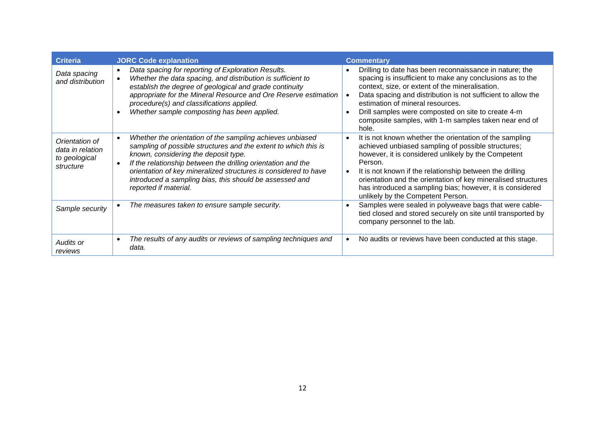| <b>Criteria</b>                                                  | <b>JORC Code explanation</b>                                                                                                                                                                                                                                                                                                                                                                | <b>Commentary</b>                                                                                                                                                                                                                                                                                                                                                                                                           |
|------------------------------------------------------------------|---------------------------------------------------------------------------------------------------------------------------------------------------------------------------------------------------------------------------------------------------------------------------------------------------------------------------------------------------------------------------------------------|-----------------------------------------------------------------------------------------------------------------------------------------------------------------------------------------------------------------------------------------------------------------------------------------------------------------------------------------------------------------------------------------------------------------------------|
| Data spacing<br>and distribution                                 | Data spacing for reporting of Exploration Results.<br>$\bullet$<br>Whether the data spacing, and distribution is sufficient to<br>establish the degree of geological and grade continuity<br>appropriate for the Mineral Resource and Ore Reserve estimation<br>procedure(s) and classifications applied.<br>Whether sample composting has been applied.                                    | Drilling to date has been reconnaissance in nature; the<br>spacing is insufficient to make any conclusions as to the<br>context, size, or extent of the mineralisation.<br>Data spacing and distribution is not sufficient to allow the<br>estimation of mineral resources.<br>Drill samples were composted on site to create 4-m<br>composite samples, with 1-m samples taken near end of<br>hole.                         |
| Orientation of<br>data in relation<br>to geological<br>structure | Whether the orientation of the sampling achieves unbiased<br>sampling of possible structures and the extent to which this is<br>known, considering the deposit type.<br>If the relationship between the drilling orientation and the<br>orientation of key mineralized structures is considered to have<br>introduced a sampling bias, this should be assessed and<br>reported if material. | It is not known whether the orientation of the sampling<br>$\bullet$<br>achieved unbiased sampling of possible structures;<br>however, it is considered unlikely by the Competent<br>Person.<br>It is not known if the relationship between the drilling<br>orientation and the orientation of key mineralised structures<br>has introduced a sampling bias; however, it is considered<br>unlikely by the Competent Person. |
| Sample security                                                  | The measures taken to ensure sample security.                                                                                                                                                                                                                                                                                                                                               | Samples were sealed in polyweave bags that were cable-<br>tied closed and stored securely on site until transported by<br>company personnel to the lab.                                                                                                                                                                                                                                                                     |
| Audits or<br>reviews                                             | The results of any audits or reviews of sampling techniques and<br>$\bullet$<br>data.                                                                                                                                                                                                                                                                                                       | No audits or reviews have been conducted at this stage.                                                                                                                                                                                                                                                                                                                                                                     |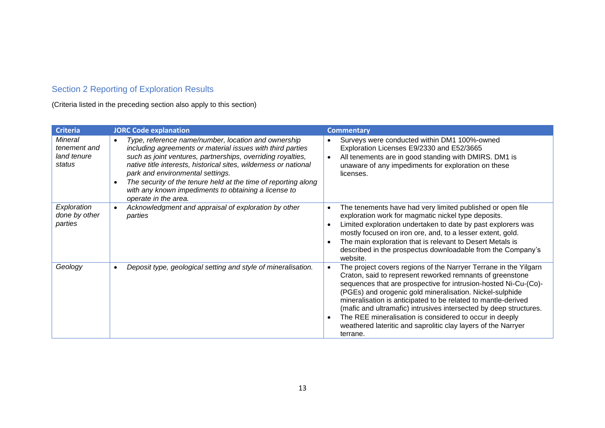## Section 2 Reporting of Exploration Results

(Criteria listed in the preceding section also apply to this section)

| <b>Criteria</b>                                         | <b>JORC Code explanation</b>                                                                                                                                                                                                                                                                                                                                                                                                                                         | <b>Commentary</b>                                                                                                                                                                                                                                                                                                                                                                                                                                                                                                                                       |
|---------------------------------------------------------|----------------------------------------------------------------------------------------------------------------------------------------------------------------------------------------------------------------------------------------------------------------------------------------------------------------------------------------------------------------------------------------------------------------------------------------------------------------------|---------------------------------------------------------------------------------------------------------------------------------------------------------------------------------------------------------------------------------------------------------------------------------------------------------------------------------------------------------------------------------------------------------------------------------------------------------------------------------------------------------------------------------------------------------|
| <b>Mineral</b><br>tenement and<br>land tenure<br>status | Type, reference name/number, location and ownership<br>$\bullet$<br>including agreements or material issues with third parties<br>such as joint ventures, partnerships, overriding royalties,<br>native title interests, historical sites, wilderness or national<br>park and environmental settings.<br>The security of the tenure held at the time of reporting along<br>$\bullet$<br>with any known impediments to obtaining a license to<br>operate in the area. | Surveys were conducted within DM1 100%-owned<br>$\bullet$<br>Exploration Licenses E9/2330 and E52/3665<br>All tenements are in good standing with DMIRS. DM1 is<br>unaware of any impediments for exploration on these<br>licenses.                                                                                                                                                                                                                                                                                                                     |
| Exploration<br>done by other<br>parties                 | Acknowledgment and appraisal of exploration by other<br>$\bullet$<br>parties                                                                                                                                                                                                                                                                                                                                                                                         | The tenements have had very limited published or open file<br>$\bullet$<br>exploration work for magmatic nickel type deposits.<br>Limited exploration undertaken to date by past explorers was<br>mostly focused on iron ore, and, to a lesser extent, gold.<br>The main exploration that is relevant to Desert Metals is<br>described in the prospectus downloadable from the Company's<br>website.                                                                                                                                                    |
| Geology                                                 | Deposit type, geological setting and style of mineralisation.<br>$\bullet$                                                                                                                                                                                                                                                                                                                                                                                           | The project covers regions of the Narryer Terrane in the Yilgarn<br>Craton, said to represent reworked remnants of greenstone<br>sequences that are prospective for intrusion-hosted Ni-Cu-(Co)-<br>(PGEs) and orogenic gold mineralisation. Nickel-sulphide<br>mineralisation is anticipated to be related to mantle-derived<br>(mafic and ultramafic) intrusives intersected by deep structures.<br>The REE mineralisation is considered to occur in deeply<br>$\bullet$<br>weathered lateritic and saprolitic clay layers of the Narryer<br>terrane. |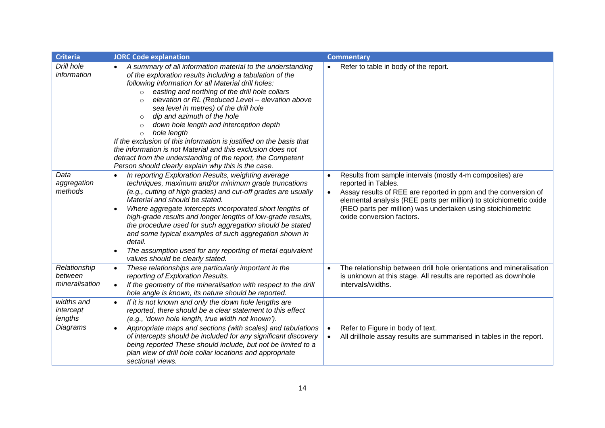| <b>Criteria</b>                           | <b>JORC Code explanation</b>                                                                                                                                                                                                                                                                                                                                                                                                                                                                                                                                                                                                                                                                                                              | <b>Commentary</b>                                                                                                                                                                                                                                                                                                                 |
|-------------------------------------------|-------------------------------------------------------------------------------------------------------------------------------------------------------------------------------------------------------------------------------------------------------------------------------------------------------------------------------------------------------------------------------------------------------------------------------------------------------------------------------------------------------------------------------------------------------------------------------------------------------------------------------------------------------------------------------------------------------------------------------------------|-----------------------------------------------------------------------------------------------------------------------------------------------------------------------------------------------------------------------------------------------------------------------------------------------------------------------------------|
| Drill hole<br>information                 | A summary of all information material to the understanding<br>of the exploration results including a tabulation of the<br>following information for all Material drill holes:<br>easting and northing of the drill hole collars<br>$\circ$<br>elevation or RL (Reduced Level - elevation above<br>$\circ$<br>sea level in metres) of the drill hole<br>dip and azimuth of the hole<br>$\circ$<br>down hole length and interception depth<br>$\circ$<br>hole length<br>$\circ$<br>If the exclusion of this information is justified on the basis that<br>the information is not Material and this exclusion does not<br>detract from the understanding of the report, the Competent<br>Person should clearly explain why this is the case. | Refer to table in body of the report.                                                                                                                                                                                                                                                                                             |
| Data<br>aggregation<br>methods            | In reporting Exploration Results, weighting average<br>techniques, maximum and/or minimum grade truncations<br>(e.g., cutting of high grades) and cut-off grades are usually<br>Material and should be stated.<br>Where aggregate intercepts incorporated short lengths of<br>$\bullet$<br>high-grade results and longer lengths of low-grade results,<br>the procedure used for such aggregation should be stated<br>and some typical examples of such aggregation shown in<br>detail.<br>The assumption used for any reporting of metal equivalent<br>$\bullet$<br>values should be clearly stated.                                                                                                                                     | Results from sample intervals (mostly 4-m composites) are<br>reported in Tables.<br>Assay results of REE are reported in ppm and the conversion of<br>$\bullet$<br>elemental analysis (REE parts per million) to stoichiometric oxide<br>(REO parts per million) was undertaken using stoichiometric<br>oxide conversion factors. |
| Relationship<br>between<br>mineralisation | These relationships are particularly important in the<br>$\bullet$<br>reporting of Exploration Results.<br>If the geometry of the mineralisation with respect to the drill<br>$\bullet$<br>hole angle is known, its nature should be reported.                                                                                                                                                                                                                                                                                                                                                                                                                                                                                            | The relationship between drill hole orientations and mineralisation<br>$\bullet$<br>is unknown at this stage. All results are reported as downhole<br>intervals/widths.                                                                                                                                                           |
| widths and<br>intercept<br>lengths        | If it is not known and only the down hole lengths are<br>$\bullet$<br>reported, there should be a clear statement to this effect<br>(e.g., 'down hole length, true width not known').                                                                                                                                                                                                                                                                                                                                                                                                                                                                                                                                                     |                                                                                                                                                                                                                                                                                                                                   |
| Diagrams                                  | Appropriate maps and sections (with scales) and tabulations<br>$\bullet$<br>of intercepts should be included for any significant discovery<br>being reported These should include, but not be limited to a<br>plan view of drill hole collar locations and appropriate<br>sectional views.                                                                                                                                                                                                                                                                                                                                                                                                                                                | Refer to Figure in body of text.<br>$\bullet$<br>All drillhole assay results are summarised in tables in the report.<br>$\bullet$                                                                                                                                                                                                 |